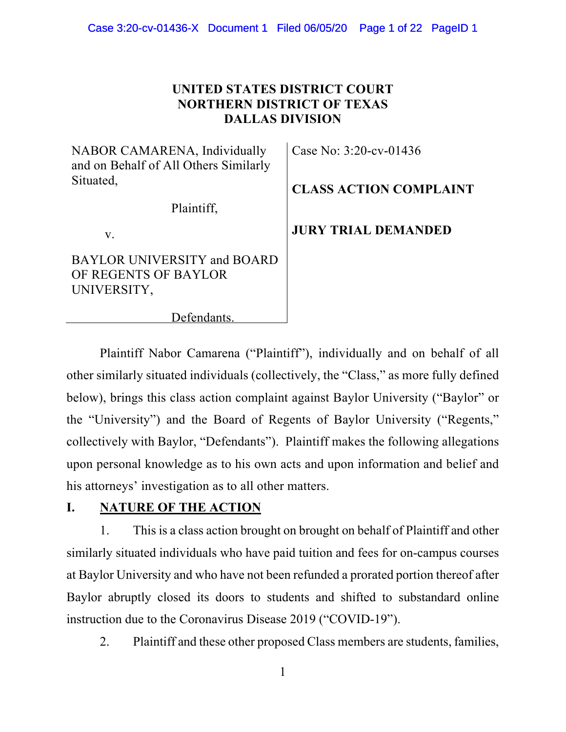## **UNITED STATES DISTRICT COURT NORTHERN DISTRICT OF TEXAS DALLAS DIVISION**

NABOR CAMARENA, Individually and on Behalf of All Others Similarly Situated,

Plaintiff,

v.

BAYLOR UNIVERSITY and BOARD OF REGENTS OF BAYLOR UNIVERSITY,

Case No: 3:20-cv-01436

**CLASS ACTION COMPLAINT** 

**JURY TRIAL DEMANDED** 

Defendants.

Plaintiff Nabor Camarena ("Plaintiff"), individually and on behalf of all other similarly situated individuals (collectively, the "Class," as more fully defined below), brings this class action complaint against Baylor University ("Baylor" or the "University") and the Board of Regents of Baylor University ("Regents," collectively with Baylor, "Defendants"). Plaintiff makes the following allegations upon personal knowledge as to his own acts and upon information and belief and his attorneys' investigation as to all other matters.

# **I. NATURE OF THE ACTION**

1. This is a class action brought on brought on behalf of Plaintiff and other similarly situated individuals who have paid tuition and fees for on-campus courses at Baylor University and who have not been refunded a prorated portion thereof after Baylor abruptly closed its doors to students and shifted to substandard online instruction due to the Coronavirus Disease 2019 ("COVID-19").

2. Plaintiff and these other proposed Class members are students, families,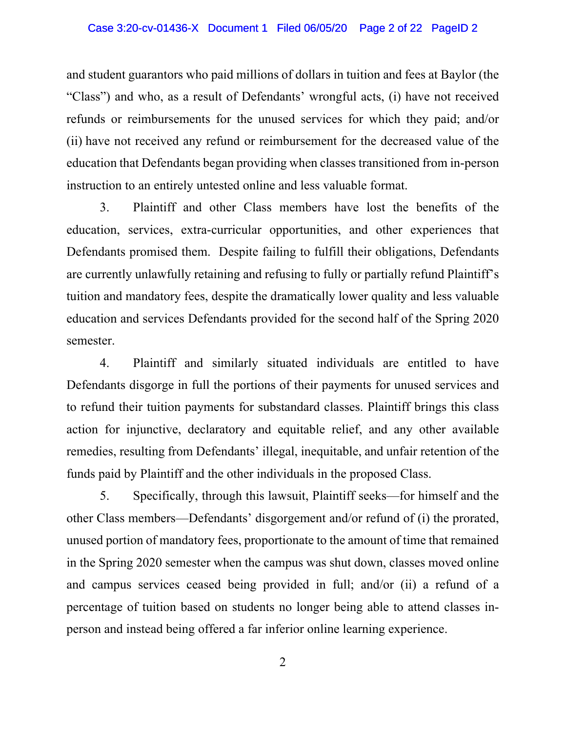#### Case 3:20-cv-01436-X Document 1 Filed 06/05/20 Page 2 of 22 PageID 2

and student guarantors who paid millions of dollars in tuition and fees at Baylor (the "Class") and who, as a result of Defendants' wrongful acts, (i) have not received refunds or reimbursements for the unused services for which they paid; and/or (ii) have not received any refund or reimbursement for the decreased value of the education that Defendants began providing when classes transitioned from in-person instruction to an entirely untested online and less valuable format.

3. Plaintiff and other Class members have lost the benefits of the education, services, extra-curricular opportunities, and other experiences that Defendants promised them. Despite failing to fulfill their obligations, Defendants are currently unlawfully retaining and refusing to fully or partially refund Plaintiff's tuition and mandatory fees, despite the dramatically lower quality and less valuable education and services Defendants provided for the second half of the Spring 2020 semester.

4. Plaintiff and similarly situated individuals are entitled to have Defendants disgorge in full the portions of their payments for unused services and to refund their tuition payments for substandard classes. Plaintiff brings this class action for injunctive, declaratory and equitable relief, and any other available remedies, resulting from Defendants' illegal, inequitable, and unfair retention of the funds paid by Plaintiff and the other individuals in the proposed Class.

5. Specifically, through this lawsuit, Plaintiff seeks—for himself and the other Class members—Defendants' disgorgement and/or refund of (i) the prorated, unused portion of mandatory fees, proportionate to the amount of time that remained in the Spring 2020 semester when the campus was shut down, classes moved online and campus services ceased being provided in full; and/or (ii) a refund of a percentage of tuition based on students no longer being able to attend classes inperson and instead being offered a far inferior online learning experience.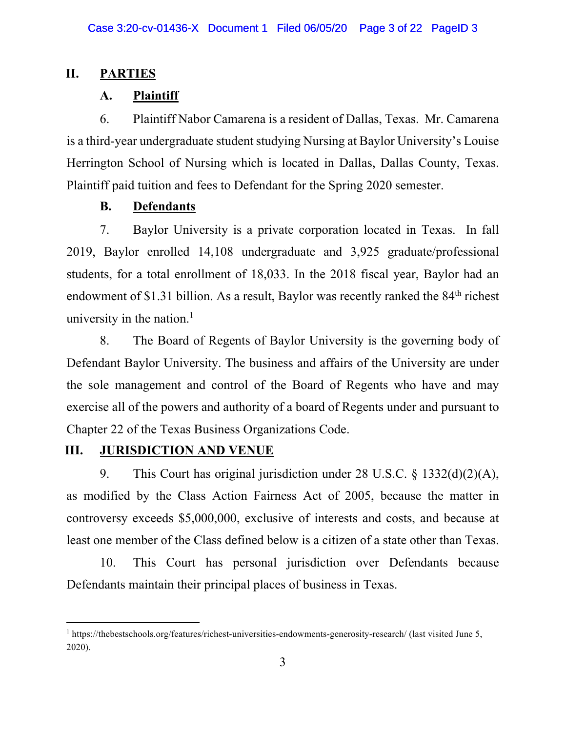## **II. PARTIES**

## **A. Plaintiff**

6. Plaintiff Nabor Camarena is a resident of Dallas, Texas. Mr. Camarena is a third-year undergraduate student studying Nursing at Baylor University's Louise Herrington School of Nursing which is located in Dallas, Dallas County, Texas. Plaintiff paid tuition and fees to Defendant for the Spring 2020 semester.

## **B. Defendants**

7. Baylor University is a private corporation located in Texas. In fall 2019, Baylor enrolled 14,108 undergraduate and 3,925 graduate/professional students, for a total enrollment of 18,033. In the 2018 fiscal year, Baylor had an endowment of \$1.31 billion. As a result, Baylor was recently ranked the  $84<sup>th</sup>$  richest university in the nation.<sup>1</sup>

8. The Board of Regents of Baylor University is the governing body of Defendant Baylor University. The business and affairs of the University are under the sole management and control of the Board of Regents who have and may exercise all of the powers and authority of a board of Regents under and pursuant to Chapter 22 of the Texas Business Organizations Code.

## **III.** JURISDICTION AND VENUE

9. This Court has original jurisdiction under 28 U.S.C. § 1332(d)(2)(A), as modified by the Class Action Fairness Act of 2005, because the matter in controversy exceeds \$5,000,000, exclusive of interests and costs, and because at least one member of the Class defined below is a citizen of a state other than Texas.

10. This Court has personal jurisdiction over Defendants because Defendants maintain their principal places of business in Texas.

<sup>&</sup>lt;sup>1</sup> https://thebestschools.org/features/richest-universities-endowments-generosity-research/ (last visited June 5, 2020).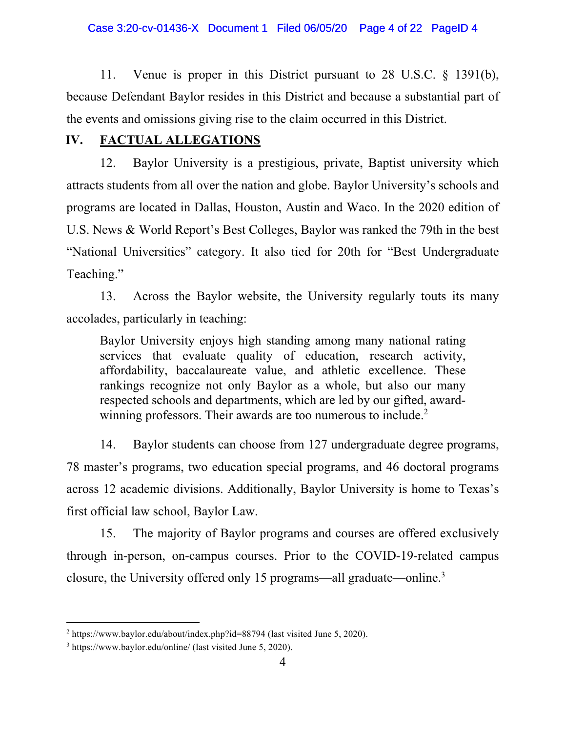#### Case 3:20-cv-01436-X Document 1 Filed 06/05/20 Page 4 of 22 PageID 4

11. Venue is proper in this District pursuant to 28 U.S.C. § 1391(b), because Defendant Baylor resides in this District and because a substantial part of the events and omissions giving rise to the claim occurred in this District.

## **IV. FACTUAL ALLEGATIONS**

12. Baylor University is a prestigious, private, Baptist university which attracts students from all over the nation and globe. Baylor University's schools and programs are located in Dallas, Houston, Austin and Waco. In the 2020 edition of U.S. News & World Report's Best Colleges, Baylor was ranked the 79th in the best "National Universities" category. It also tied for 20th for "Best Undergraduate Teaching."

13. Across the Baylor website, the University regularly touts its many accolades, particularly in teaching:

Baylor University enjoys high standing among many national rating services that evaluate quality of education, research activity, affordability, baccalaureate value, and athletic excellence. These rankings recognize not only Baylor as a whole, but also our many respected schools and departments, which are led by our gifted, awardwinning professors. Their awards are too numerous to include.<sup>2</sup>

14. Baylor students can choose from 127 undergraduate degree programs, 78 master's programs, two education special programs, and 46 doctoral programs across 12 academic divisions. Additionally, Baylor University is home to Texas's first official law school, Baylor Law.

15. The majority of Baylor programs and courses are offered exclusively through in-person, on-campus courses. Prior to the COVID-19-related campus closure, the University offered only 15 programs—all graduate—online.3

<sup>&</sup>lt;sup>2</sup> https://www.baylor.edu/about/index.php?id=88794 (last visited June 5, 2020).

<sup>&</sup>lt;sup>3</sup> https://www.baylor.edu/online/ (last visited June 5, 2020).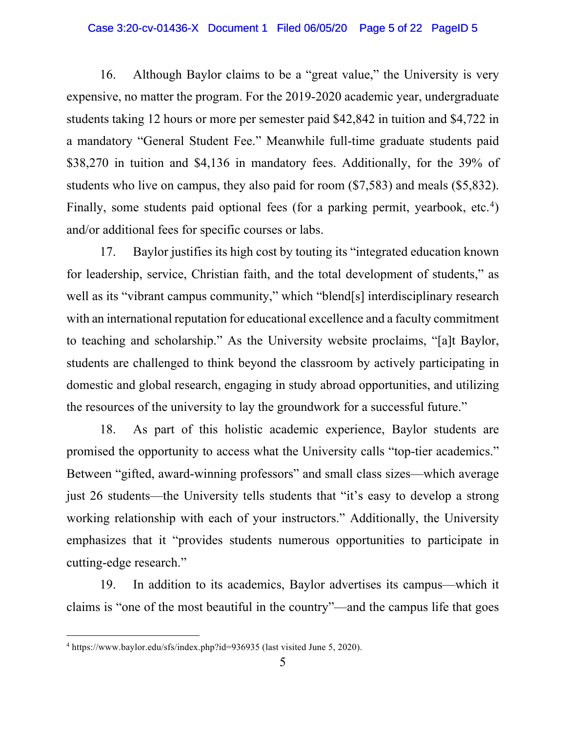#### Case 3:20-cv-01436-X Document 1 Filed 06/05/20 Page 5 of 22 PageID 5

16. Although Baylor claims to be a "great value," the University is very expensive, no matter the program. For the 2019-2020 academic year, undergraduate students taking 12 hours or more per semester paid \$42,842 in tuition and \$4,722 in a mandatory "General Student Fee." Meanwhile full-time graduate students paid \$38,270 in tuition and \$4,136 in mandatory fees. Additionally, for the 39% of students who live on campus, they also paid for room (\$7,583) and meals (\$5,832). Finally, some students paid optional fees (for a parking permit, yearbook, etc.<sup>4</sup>) and/or additional fees for specific courses or labs.

17. Baylor justifies its high cost by touting its "integrated education known for leadership, service, Christian faith, and the total development of students," as well as its "vibrant campus community," which "blend[s] interdisciplinary research with an international reputation for educational excellence and a faculty commitment to teaching and scholarship." As the University website proclaims, "[a]t Baylor, students are challenged to think beyond the classroom by actively participating in domestic and global research, engaging in study abroad opportunities, and utilizing the resources of the university to lay the groundwork for a successful future."

18. As part of this holistic academic experience, Baylor students are promised the opportunity to access what the University calls "top-tier academics." Between "gifted, award-winning professors" and small class sizes—which average just 26 students—the University tells students that "it's easy to develop a strong working relationship with each of your instructors." Additionally, the University emphasizes that it "provides students numerous opportunities to participate in cutting-edge research."

19. In addition to its academics, Baylor advertises its campus—which it claims is "one of the most beautiful in the country"—and the campus life that goes

<sup>&</sup>lt;sup>4</sup> https://www.baylor.edu/sfs/index.php?id=936935 (last visited June 5, 2020).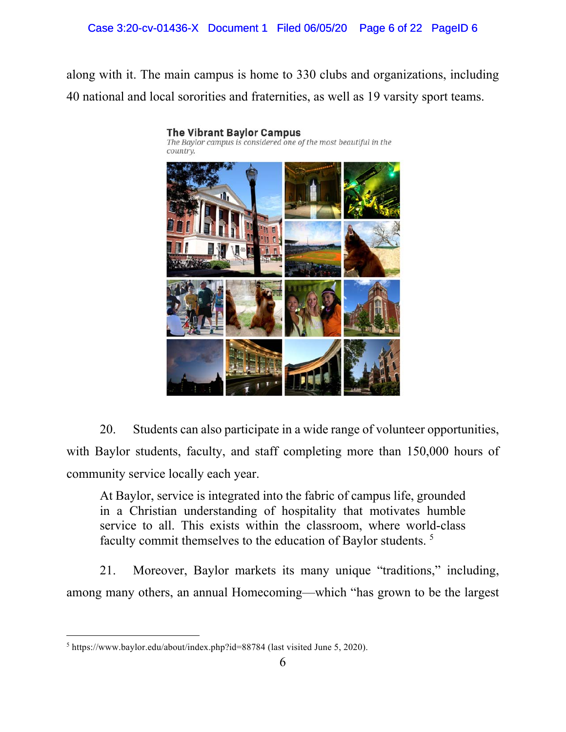### Case 3:20-cv-01436-X Document 1 Filed 06/05/20 Page 6 of 22 PageID 6

along with it. The main campus is home to 330 clubs and organizations, including 40 national and local sororities and fraternities, as well as 19 varsity sport teams.



20. Students can also participate in a wide range of volunteer opportunities, with Baylor students, faculty, and staff completing more than 150,000 hours of community service locally each year.

At Baylor, service is integrated into the fabric of campus life, grounded in a Christian understanding of hospitality that motivates humble service to all. This exists within the classroom, where world-class faculty commit themselves to the education of Baylor students. 5

21. Moreover, Baylor markets its many unique "traditions," including, among many others, an annual Homecoming—which "has grown to be the largest

<sup>&</sup>lt;sup>5</sup> https://www.baylor.edu/about/index.php?id=88784 (last visited June 5, 2020).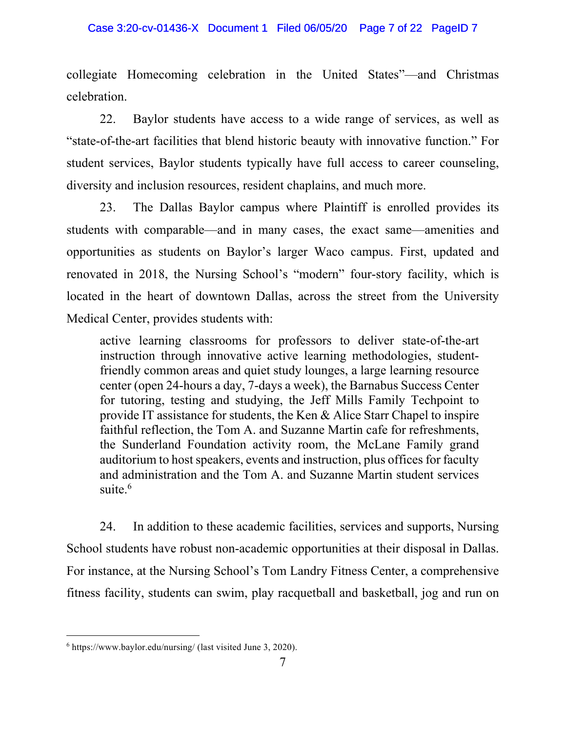collegiate Homecoming celebration in the United States"—and Christmas celebration.

22. Baylor students have access to a wide range of services, as well as "state-of-the-art facilities that blend historic beauty with innovative function." For student services, Baylor students typically have full access to career counseling, diversity and inclusion resources, resident chaplains, and much more.

23. The Dallas Baylor campus where Plaintiff is enrolled provides its students with comparable—and in many cases, the exact same—amenities and opportunities as students on Baylor's larger Waco campus. First, updated and renovated in 2018, the Nursing School's "modern" four-story facility, which is located in the heart of downtown Dallas, across the street from the University Medical Center, provides students with:

active learning classrooms for professors to deliver state-of-the-art instruction through innovative active learning methodologies, studentfriendly common areas and quiet study lounges, a large learning resource center (open 24-hours a day, 7-days a week), the Barnabus Success Center for tutoring, testing and studying, the Jeff Mills Family Techpoint to provide IT assistance for students, the Ken & Alice Starr Chapel to inspire faithful reflection, the Tom A. and Suzanne Martin cafe for refreshments, the Sunderland Foundation activity room, the McLane Family grand auditorium to host speakers, events and instruction, plus offices for faculty and administration and the Tom A. and Suzanne Martin student services suite. $6$ 

24. In addition to these academic facilities, services and supports, Nursing School students have robust non-academic opportunities at their disposal in Dallas. For instance, at the Nursing School's Tom Landry Fitness Center, a comprehensive fitness facility, students can swim, play racquetball and basketball, jog and run on

 $6$  https://www.baylor.edu/nursing/ (last visited June 3, 2020).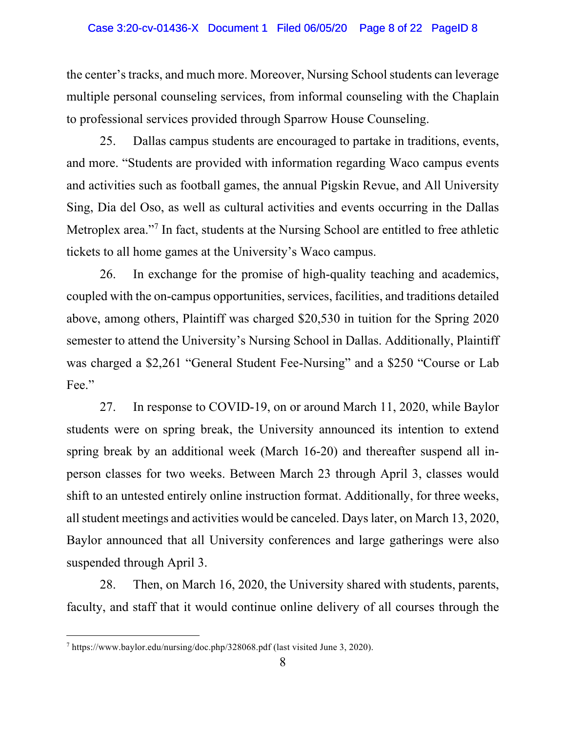the center's tracks, and much more. Moreover, Nursing School students can leverage multiple personal counseling services, from informal counseling with the Chaplain to professional services provided through Sparrow House Counseling.

25. Dallas campus students are encouraged to partake in traditions, events, and more. "Students are provided with information regarding Waco campus events and activities such as football games, the annual Pigskin Revue, and All University Sing, Dia del Oso, as well as cultural activities and events occurring in the Dallas Metroplex area."<sup>7</sup> In fact, students at the Nursing School are entitled to free athletic tickets to all home games at the University's Waco campus.

26. In exchange for the promise of high-quality teaching and academics, coupled with the on-campus opportunities, services, facilities, and traditions detailed above, among others, Plaintiff was charged \$20,530 in tuition for the Spring 2020 semester to attend the University's Nursing School in Dallas. Additionally, Plaintiff was charged a \$2,261 "General Student Fee-Nursing" and a \$250 "Course or Lab Fee."

27. In response to COVID-19, on or around March 11, 2020, while Baylor students were on spring break, the University announced its intention to extend spring break by an additional week (March 16-20) and thereafter suspend all inperson classes for two weeks. Between March 23 through April 3, classes would shift to an untested entirely online instruction format. Additionally, for three weeks, all student meetings and activities would be canceled. Days later, on March 13, 2020, Baylor announced that all University conferences and large gatherings were also suspended through April 3.

28. Then, on March 16, 2020, the University shared with students, parents, faculty, and staff that it would continue online delivery of all courses through the

 $^7$  https://www.baylor.edu/nursing/doc.php/328068.pdf (last visited June 3, 2020).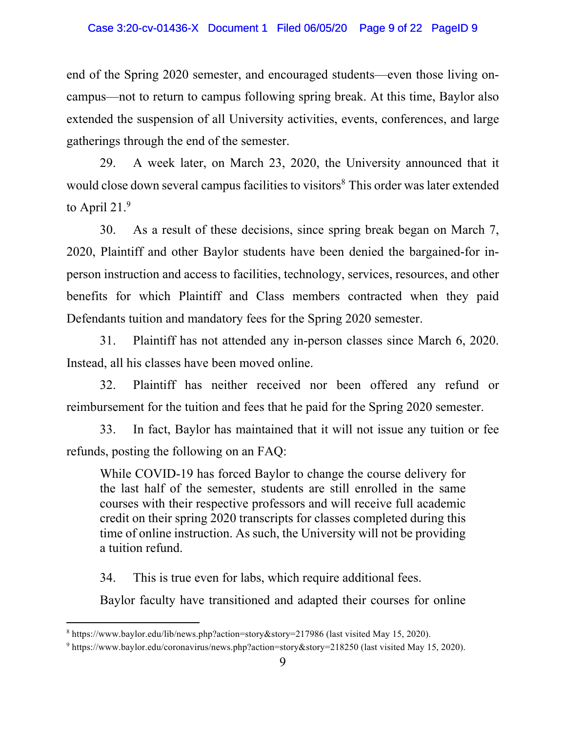#### Case 3:20-cv-01436-X Document 1 Filed 06/05/20 Page 9 of 22 PageID 9

end of the Spring 2020 semester, and encouraged students—even those living oncampus—not to return to campus following spring break. At this time, Baylor also extended the suspension of all University activities, events, conferences, and large gatherings through the end of the semester.

29. A week later, on March 23, 2020, the University announced that it would close down several campus facilities to visitors<sup>8</sup> This order was later extended to April 21.<sup>9</sup>

30. As a result of these decisions, since spring break began on March 7, 2020, Plaintiff and other Baylor students have been denied the bargained-for inperson instruction and access to facilities, technology, services, resources, and other benefits for which Plaintiff and Class members contracted when they paid Defendants tuition and mandatory fees for the Spring 2020 semester.

31. Plaintiff has not attended any in-person classes since March 6, 2020. Instead, all his classes have been moved online.

32. Plaintiff has neither received nor been offered any refund or reimbursement for the tuition and fees that he paid for the Spring 2020 semester.

33. In fact, Baylor has maintained that it will not issue any tuition or fee refunds, posting the following on an FAQ:

While COVID-19 has forced Baylor to change the course delivery for the last half of the semester, students are still enrolled in the same courses with their respective professors and will receive full academic credit on their spring 2020 transcripts for classes completed during this time of online instruction. As such, the University will not be providing a tuition refund.

34. This is true even for labs, which require additional fees.

Baylor faculty have transitioned and adapted their courses for online

<sup>8</sup> https://www.baylor.edu/lib/news.php?action=story&story=217986 (last visited May 15, 2020).

<sup>9</sup> https://www.baylor.edu/coronavirus/news.php?action=story&story=218250 (last visited May 15, 2020).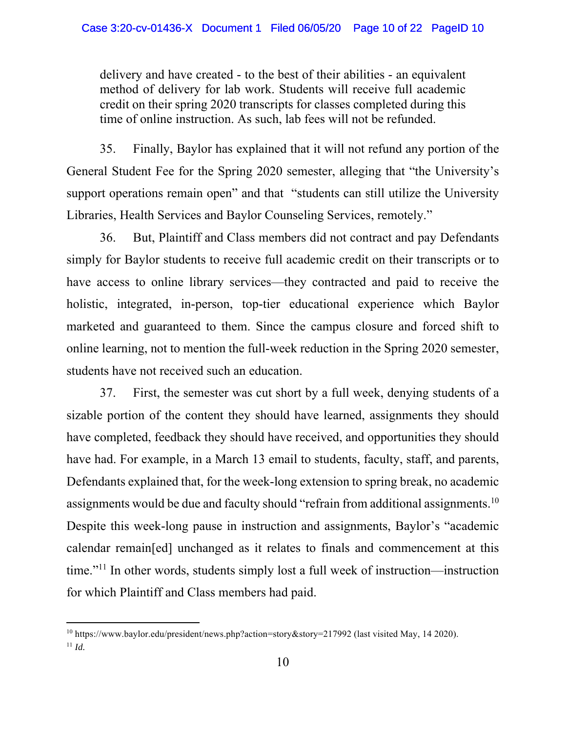delivery and have created - to the best of their abilities - an equivalent method of delivery for lab work. Students will receive full academic credit on their spring 2020 transcripts for classes completed during this time of online instruction. As such, lab fees will not be refunded.

35. Finally, Baylor has explained that it will not refund any portion of the General Student Fee for the Spring 2020 semester, alleging that "the University's support operations remain open" and that "students can still utilize the University Libraries, Health Services and Baylor Counseling Services, remotely."

36. But, Plaintiff and Class members did not contract and pay Defendants simply for Baylor students to receive full academic credit on their transcripts or to have access to online library services—they contracted and paid to receive the holistic, integrated, in-person, top-tier educational experience which Baylor marketed and guaranteed to them. Since the campus closure and forced shift to online learning, not to mention the full-week reduction in the Spring 2020 semester, students have not received such an education.

37. First, the semester was cut short by a full week, denying students of a sizable portion of the content they should have learned, assignments they should have completed, feedback they should have received, and opportunities they should have had. For example, in a March 13 email to students, faculty, staff, and parents, Defendants explained that, for the week-long extension to spring break, no academic assignments would be due and faculty should "refrain from additional assignments.<sup>10</sup> Despite this week-long pause in instruction and assignments, Baylor's "academic calendar remain[ed] unchanged as it relates to finals and commencement at this time."11 In other words, students simply lost a full week of instruction—instruction for which Plaintiff and Class members had paid.

<sup>10</sup> https://www.baylor.edu/president/news.php?action=story&story=217992 (last visited May, 14 2020).  $11$  *Id.*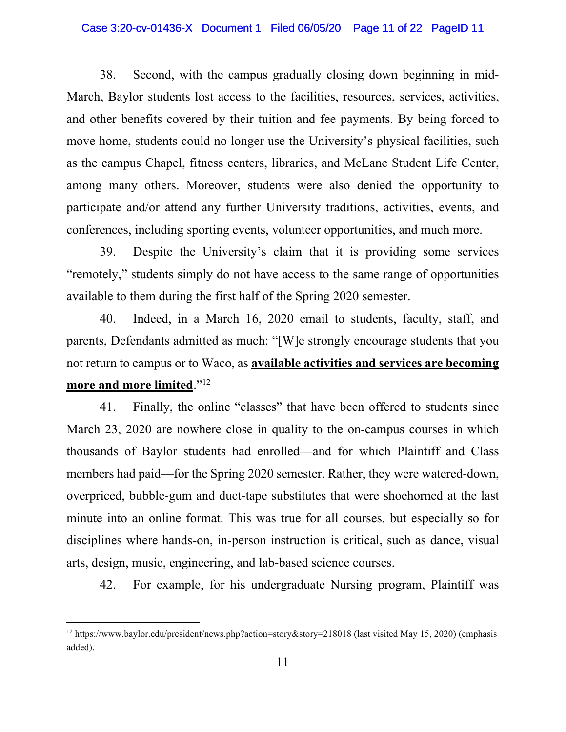#### Case 3:20-cv-01436-X Document 1 Filed 06/05/20 Page 11 of 22 PageID 11

38. Second, with the campus gradually closing down beginning in mid-March, Baylor students lost access to the facilities, resources, services, activities, and other benefits covered by their tuition and fee payments. By being forced to move home, students could no longer use the University's physical facilities, such as the campus Chapel, fitness centers, libraries, and McLane Student Life Center, among many others. Moreover, students were also denied the opportunity to participate and/or attend any further University traditions, activities, events, and conferences, including sporting events, volunteer opportunities, and much more.

39. Despite the University's claim that it is providing some services "remotely," students simply do not have access to the same range of opportunities available to them during the first half of the Spring 2020 semester.

40. Indeed, in a March 16, 2020 email to students, faculty, staff, and parents, Defendants admitted as much: "[W]e strongly encourage students that you not return to campus or to Waco, as **available activities and services are becoming more and more limited**."12

41. Finally, the online "classes" that have been offered to students since March 23, 2020 are nowhere close in quality to the on-campus courses in which thousands of Baylor students had enrolled—and for which Plaintiff and Class members had paid—for the Spring 2020 semester. Rather, they were watered-down, overpriced, bubble-gum and duct-tape substitutes that were shoehorned at the last minute into an online format. This was true for all courses, but especially so for disciplines where hands-on, in-person instruction is critical, such as dance, visual arts, design, music, engineering, and lab-based science courses.

42. For example, for his undergraduate Nursing program, Plaintiff was

<sup>12</sup> https://www.baylor.edu/president/news.php?action=story&story=218018 (last visited May 15, 2020) (emphasis added).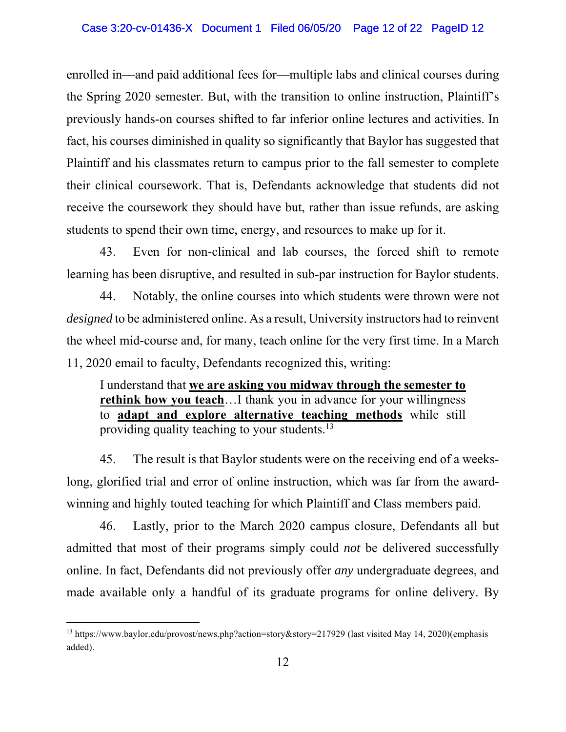enrolled in—and paid additional fees for—multiple labs and clinical courses during the Spring 2020 semester. But, with the transition to online instruction, Plaintiff's previously hands-on courses shifted to far inferior online lectures and activities. In fact, his courses diminished in quality so significantly that Baylor has suggested that Plaintiff and his classmates return to campus prior to the fall semester to complete their clinical coursework. That is, Defendants acknowledge that students did not receive the coursework they should have but, rather than issue refunds, are asking students to spend their own time, energy, and resources to make up for it.

43. Even for non-clinical and lab courses, the forced shift to remote learning has been disruptive, and resulted in sub-par instruction for Baylor students.

44. Notably, the online courses into which students were thrown were not *designed* to be administered online. As a result, University instructors had to reinvent the wheel mid-course and, for many, teach online for the very first time. In a March 11, 2020 email to faculty, Defendants recognized this, writing:

I understand that **we are asking you midway through the semester to rethink how you teach**…I thank you in advance for your willingness to **adapt and explore alternative teaching methods** while still providing quality teaching to your students.<sup>13</sup>

45. The result is that Baylor students were on the receiving end of a weekslong, glorified trial and error of online instruction, which was far from the awardwinning and highly touted teaching for which Plaintiff and Class members paid.

46. Lastly, prior to the March 2020 campus closure, Defendants all but admitted that most of their programs simply could *not* be delivered successfully online. In fact, Defendants did not previously offer *any* undergraduate degrees, and made available only a handful of its graduate programs for online delivery. By

<sup>13</sup> https://www.baylor.edu/provost/news.php?action=story&story=217929 (last visited May 14, 2020)(emphasis added).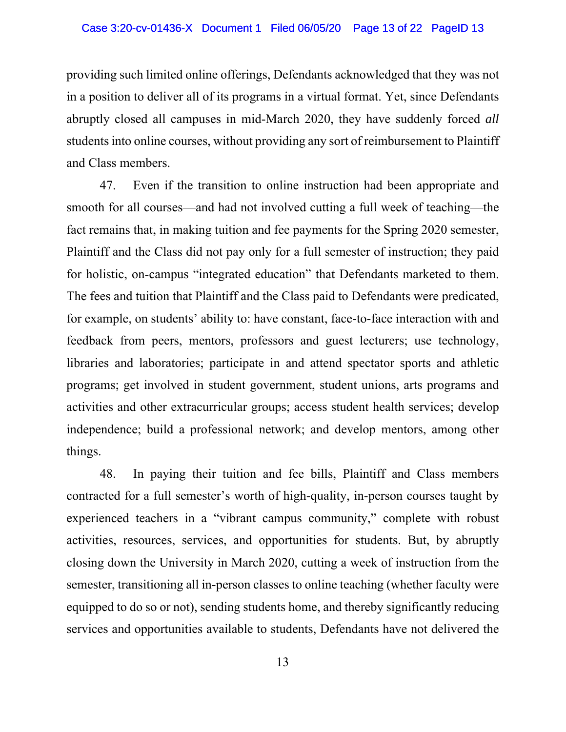providing such limited online offerings, Defendants acknowledged that they was not in a position to deliver all of its programs in a virtual format. Yet, since Defendants abruptly closed all campuses in mid-March 2020, they have suddenly forced *all* students into online courses, without providing any sort of reimbursement to Plaintiff and Class members.

47. Even if the transition to online instruction had been appropriate and smooth for all courses—and had not involved cutting a full week of teaching—the fact remains that, in making tuition and fee payments for the Spring 2020 semester, Plaintiff and the Class did not pay only for a full semester of instruction; they paid for holistic, on-campus "integrated education" that Defendants marketed to them. The fees and tuition that Plaintiff and the Class paid to Defendants were predicated, for example, on students' ability to: have constant, face-to-face interaction with and feedback from peers, mentors, professors and guest lecturers; use technology, libraries and laboratories; participate in and attend spectator sports and athletic programs; get involved in student government, student unions, arts programs and activities and other extracurricular groups; access student health services; develop independence; build a professional network; and develop mentors, among other things.

48. In paying their tuition and fee bills, Plaintiff and Class members contracted for a full semester's worth of high-quality, in-person courses taught by experienced teachers in a "vibrant campus community," complete with robust activities, resources, services, and opportunities for students. But, by abruptly closing down the University in March 2020, cutting a week of instruction from the semester, transitioning all in-person classes to online teaching (whether faculty were equipped to do so or not), sending students home, and thereby significantly reducing services and opportunities available to students, Defendants have not delivered the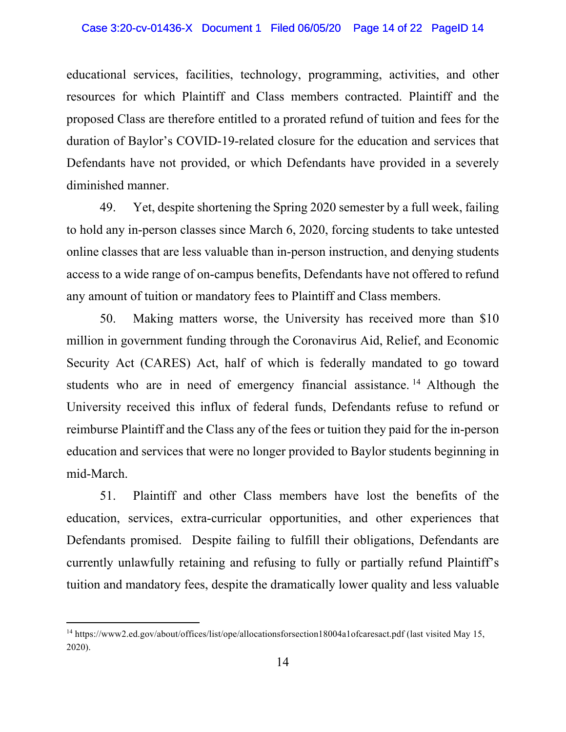educational services, facilities, technology, programming, activities, and other resources for which Plaintiff and Class members contracted. Plaintiff and the proposed Class are therefore entitled to a prorated refund of tuition and fees for the duration of Baylor's COVID-19-related closure for the education and services that Defendants have not provided, or which Defendants have provided in a severely diminished manner.

49. Yet, despite shortening the Spring 2020 semester by a full week, failing to hold any in-person classes since March 6, 2020, forcing students to take untested online classes that are less valuable than in-person instruction, and denying students access to a wide range of on-campus benefits, Defendants have not offered to refund any amount of tuition or mandatory fees to Plaintiff and Class members.

50. Making matters worse, the University has received more than \$10 million in government funding through the Coronavirus Aid, Relief, and Economic Security Act (CARES) Act, half of which is federally mandated to go toward students who are in need of emergency financial assistance.<sup>14</sup> Although the University received this influx of federal funds, Defendants refuse to refund or reimburse Plaintiff and the Class any of the fees or tuition they paid for the in-person education and services that were no longer provided to Baylor students beginning in mid-March.

51. Plaintiff and other Class members have lost the benefits of the education, services, extra-curricular opportunities, and other experiences that Defendants promised. Despite failing to fulfill their obligations, Defendants are currently unlawfully retaining and refusing to fully or partially refund Plaintiff's tuition and mandatory fees, despite the dramatically lower quality and less valuable

<sup>14</sup> https://www2.ed.gov/about/offices/list/ope/allocationsforsection18004a1ofcaresact.pdf (last visited May 15, 2020).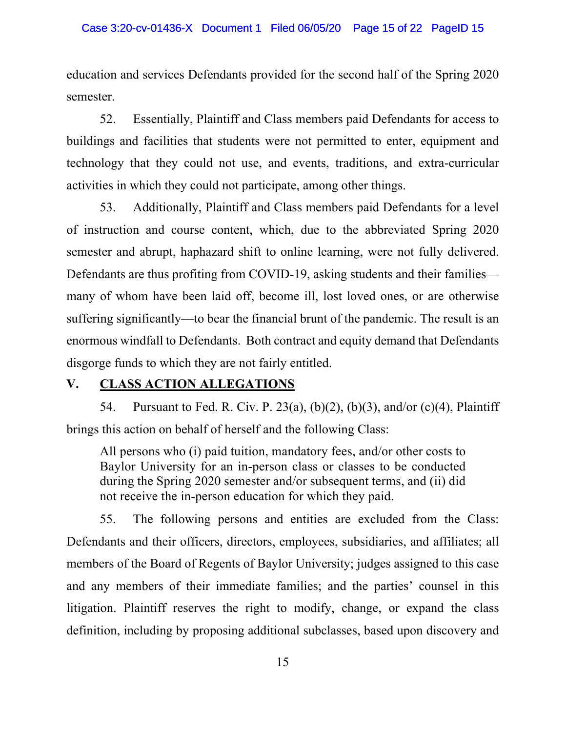education and services Defendants provided for the second half of the Spring 2020 semester.

52. Essentially, Plaintiff and Class members paid Defendants for access to buildings and facilities that students were not permitted to enter, equipment and technology that they could not use, and events, traditions, and extra-curricular activities in which they could not participate, among other things.

53. Additionally, Plaintiff and Class members paid Defendants for a level of instruction and course content, which, due to the abbreviated Spring 2020 semester and abrupt, haphazard shift to online learning, were not fully delivered. Defendants are thus profiting from COVID-19, asking students and their families many of whom have been laid off, become ill, lost loved ones, or are otherwise suffering significantly—to bear the financial brunt of the pandemic. The result is an enormous windfall to Defendants. Both contract and equity demand that Defendants disgorge funds to which they are not fairly entitled.

## **V. CLASS ACTION ALLEGATIONS**

54. Pursuant to Fed. R. Civ. P. 23(a), (b)(2), (b)(3), and/or (c)(4), Plaintiff brings this action on behalf of herself and the following Class:

All persons who (i) paid tuition, mandatory fees, and/or other costs to Baylor University for an in-person class or classes to be conducted during the Spring 2020 semester and/or subsequent terms, and (ii) did not receive the in-person education for which they paid.

55. The following persons and entities are excluded from the Class: Defendants and their officers, directors, employees, subsidiaries, and affiliates; all members of the Board of Regents of Baylor University; judges assigned to this case and any members of their immediate families; and the parties' counsel in this litigation. Plaintiff reserves the right to modify, change, or expand the class definition, including by proposing additional subclasses, based upon discovery and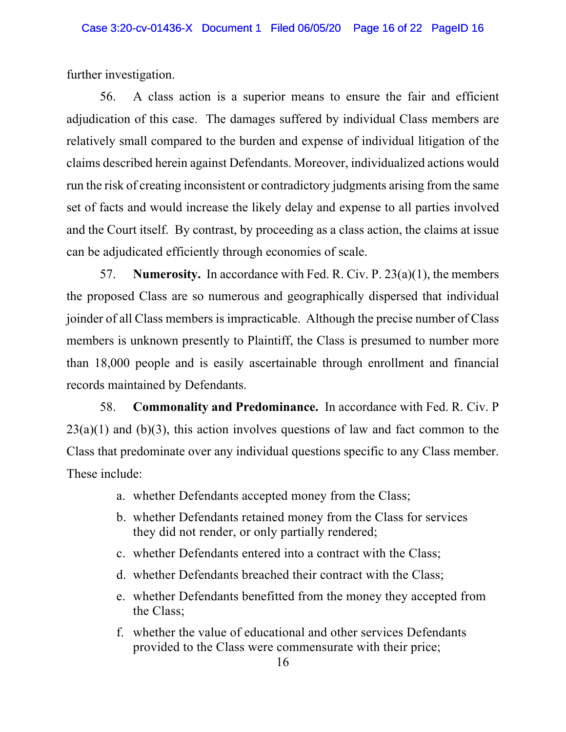further investigation.

56. A class action is a superior means to ensure the fair and efficient adjudication of this case. The damages suffered by individual Class members are relatively small compared to the burden and expense of individual litigation of the claims described herein against Defendants. Moreover, individualized actions would run the risk of creating inconsistent or contradictory judgments arising from the same set of facts and would increase the likely delay and expense to all parties involved and the Court itself. By contrast, by proceeding as a class action, the claims at issue can be adjudicated efficiently through economies of scale.

57. **Numerosity.** In accordance with Fed. R. Civ. P. 23(a)(1), the members the proposed Class are so numerous and geographically dispersed that individual joinder of all Class members is impracticable. Although the precise number of Class members is unknown presently to Plaintiff, the Class is presumed to number more than 18,000 people and is easily ascertainable through enrollment and financial records maintained by Defendants.

58. **Commonality and Predominance.** In accordance with Fed. R. Civ. P  $23(a)(1)$  and (b)(3), this action involves questions of law and fact common to the Class that predominate over any individual questions specific to any Class member. These include:

- a. whether Defendants accepted money from the Class;
- b. whether Defendants retained money from the Class for services they did not render, or only partially rendered;
- c. whether Defendants entered into a contract with the Class;
- d. whether Defendants breached their contract with the Class;
- e. whether Defendants benefitted from the money they accepted from the Class;
- f. whether the value of educational and other services Defendants provided to the Class were commensurate with their price;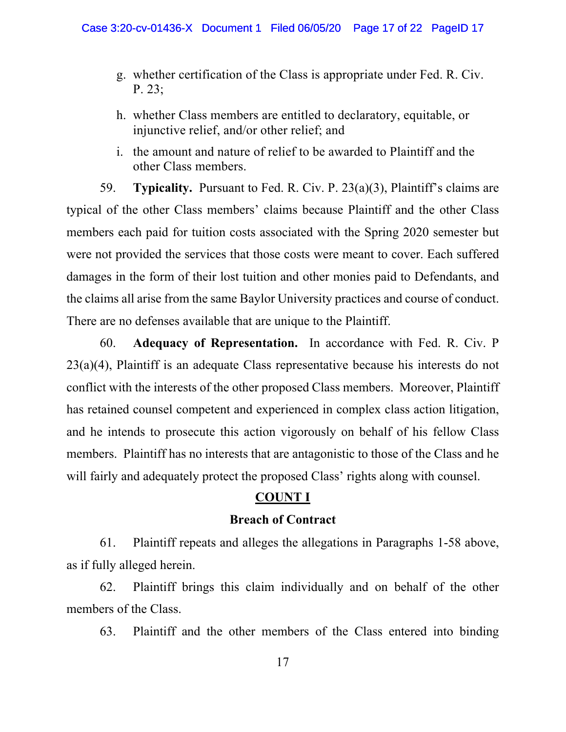- g. whether certification of the Class is appropriate under Fed. R. Civ. P. 23;
- h. whether Class members are entitled to declaratory, equitable, or injunctive relief, and/or other relief; and
- i. the amount and nature of relief to be awarded to Plaintiff and the other Class members.

59. **Typicality.** Pursuant to Fed. R. Civ. P. 23(a)(3), Plaintiff's claims are typical of the other Class members' claims because Plaintiff and the other Class members each paid for tuition costs associated with the Spring 2020 semester but were not provided the services that those costs were meant to cover. Each suffered damages in the form of their lost tuition and other monies paid to Defendants, and the claims all arise from the same Baylor University practices and course of conduct. There are no defenses available that are unique to the Plaintiff.

60. **Adequacy of Representation.** In accordance with Fed. R. Civ. P 23(a)(4), Plaintiff is an adequate Class representative because his interests do not conflict with the interests of the other proposed Class members. Moreover, Plaintiff has retained counsel competent and experienced in complex class action litigation, and he intends to prosecute this action vigorously on behalf of his fellow Class members. Plaintiff has no interests that are antagonistic to those of the Class and he will fairly and adequately protect the proposed Class' rights along with counsel.

## **COUNT I**

### **Breach of Contract**

61. Plaintiff repeats and alleges the allegations in Paragraphs 1-58 above, as if fully alleged herein.

62. Plaintiff brings this claim individually and on behalf of the other members of the Class.

63. Plaintiff and the other members of the Class entered into binding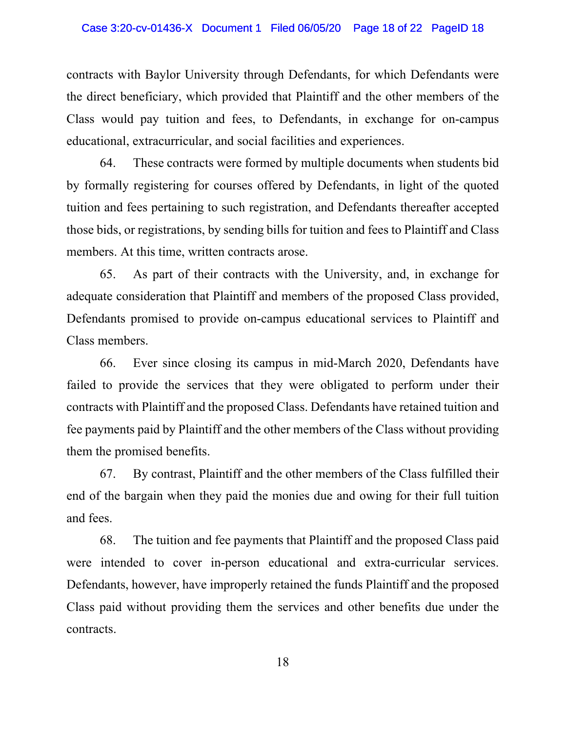contracts with Baylor University through Defendants, for which Defendants were the direct beneficiary, which provided that Plaintiff and the other members of the Class would pay tuition and fees, to Defendants, in exchange for on-campus educational, extracurricular, and social facilities and experiences.

64. These contracts were formed by multiple documents when students bid by formally registering for courses offered by Defendants, in light of the quoted tuition and fees pertaining to such registration, and Defendants thereafter accepted those bids, or registrations, by sending bills for tuition and fees to Plaintiff and Class members. At this time, written contracts arose.

65. As part of their contracts with the University, and, in exchange for adequate consideration that Plaintiff and members of the proposed Class provided, Defendants promised to provide on-campus educational services to Plaintiff and Class members.

66. Ever since closing its campus in mid-March 2020, Defendants have failed to provide the services that they were obligated to perform under their contracts with Plaintiff and the proposed Class. Defendants have retained tuition and fee payments paid by Plaintiff and the other members of the Class without providing them the promised benefits.

67. By contrast, Plaintiff and the other members of the Class fulfilled their end of the bargain when they paid the monies due and owing for their full tuition and fees.

68. The tuition and fee payments that Plaintiff and the proposed Class paid were intended to cover in-person educational and extra-curricular services. Defendants, however, have improperly retained the funds Plaintiff and the proposed Class paid without providing them the services and other benefits due under the contracts.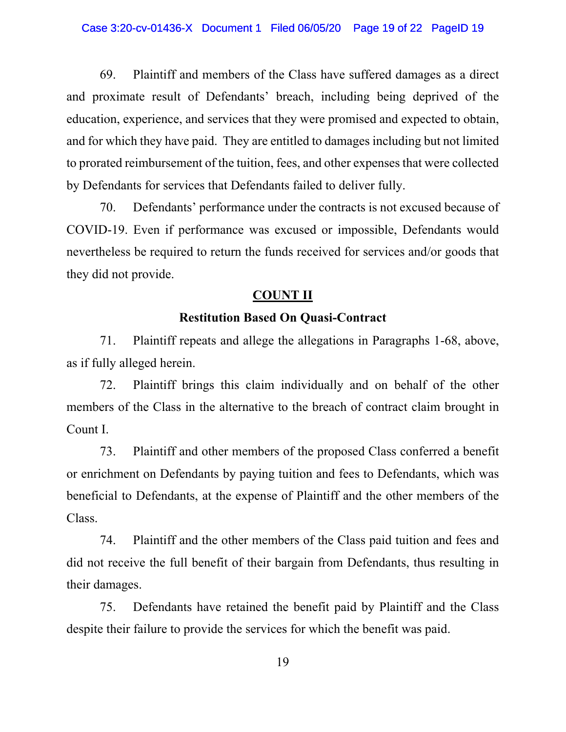69. Plaintiff and members of the Class have suffered damages as a direct and proximate result of Defendants' breach, including being deprived of the education, experience, and services that they were promised and expected to obtain, and for which they have paid. They are entitled to damages including but not limited to prorated reimbursement of the tuition, fees, and other expenses that were collected by Defendants for services that Defendants failed to deliver fully.

70. Defendants' performance under the contracts is not excused because of COVID-19. Even if performance was excused or impossible, Defendants would nevertheless be required to return the funds received for services and/or goods that they did not provide.

## **COUNT II**

## **Restitution Based On Quasi-Contract**

71. Plaintiff repeats and allege the allegations in Paragraphs 1-68, above, as if fully alleged herein.

72. Plaintiff brings this claim individually and on behalf of the other members of the Class in the alternative to the breach of contract claim brought in Count I.

73. Plaintiff and other members of the proposed Class conferred a benefit or enrichment on Defendants by paying tuition and fees to Defendants, which was beneficial to Defendants, at the expense of Plaintiff and the other members of the Class.

74. Plaintiff and the other members of the Class paid tuition and fees and did not receive the full benefit of their bargain from Defendants, thus resulting in their damages.

75. Defendants have retained the benefit paid by Plaintiff and the Class despite their failure to provide the services for which the benefit was paid.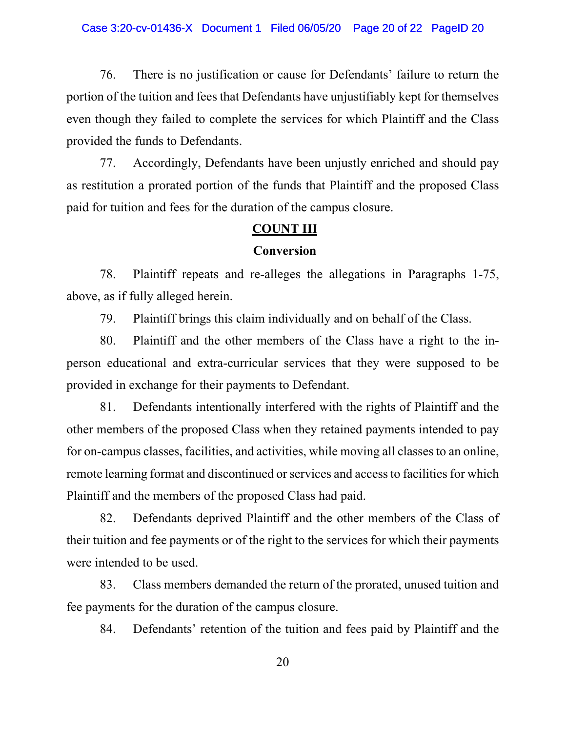#### Case 3:20-cv-01436-X Document 1 Filed 06/05/20 Page 20 of 22 PageID 20

76. There is no justification or cause for Defendants' failure to return the portion of the tuition and fees that Defendants have unjustifiably kept for themselves even though they failed to complete the services for which Plaintiff and the Class provided the funds to Defendants.

77. Accordingly, Defendants have been unjustly enriched and should pay as restitution a prorated portion of the funds that Plaintiff and the proposed Class paid for tuition and fees for the duration of the campus closure.

### **COUNT III**

### **Conversion**

78. Plaintiff repeats and re-alleges the allegations in Paragraphs 1-75, above, as if fully alleged herein.

79. Plaintiff brings this claim individually and on behalf of the Class.

80. Plaintiff and the other members of the Class have a right to the inperson educational and extra-curricular services that they were supposed to be provided in exchange for their payments to Defendant.

81. Defendants intentionally interfered with the rights of Plaintiff and the other members of the proposed Class when they retained payments intended to pay for on-campus classes, facilities, and activities, while moving all classes to an online, remote learning format and discontinued or services and access to facilities for which Plaintiff and the members of the proposed Class had paid.

82. Defendants deprived Plaintiff and the other members of the Class of their tuition and fee payments or of the right to the services for which their payments were intended to be used.

83. Class members demanded the return of the prorated, unused tuition and fee payments for the duration of the campus closure.

84. Defendants' retention of the tuition and fees paid by Plaintiff and the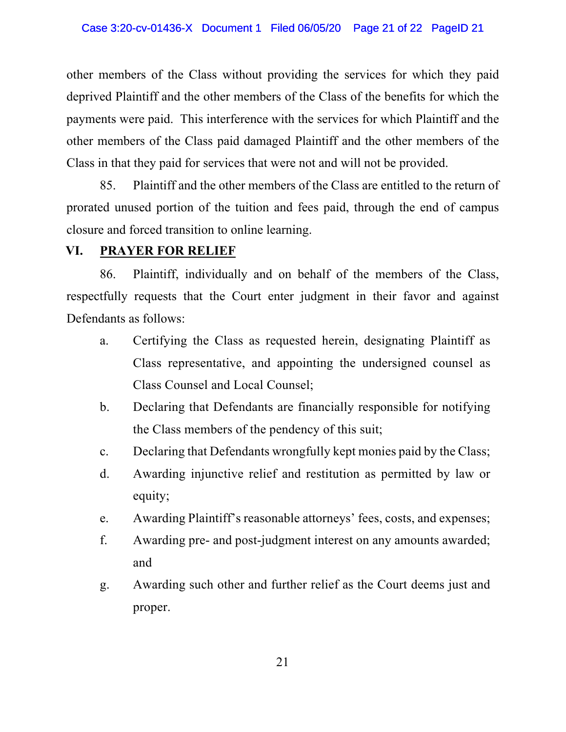other members of the Class without providing the services for which they paid deprived Plaintiff and the other members of the Class of the benefits for which the payments were paid. This interference with the services for which Plaintiff and the other members of the Class paid damaged Plaintiff and the other members of the Class in that they paid for services that were not and will not be provided.

85. Plaintiff and the other members of the Class are entitled to the return of prorated unused portion of the tuition and fees paid, through the end of campus closure and forced transition to online learning.

## **VI. PRAYER FOR RELIEF**

86. Plaintiff, individually and on behalf of the members of the Class, respectfully requests that the Court enter judgment in their favor and against Defendants as follows:

- a. Certifying the Class as requested herein, designating Plaintiff as Class representative, and appointing the undersigned counsel as Class Counsel and Local Counsel;
- b. Declaring that Defendants are financially responsible for notifying the Class members of the pendency of this suit;
- c. Declaring that Defendants wrongfully kept monies paid by the Class;
- d. Awarding injunctive relief and restitution as permitted by law or equity;
- e. Awarding Plaintiff's reasonable attorneys' fees, costs, and expenses;
- f. Awarding pre- and post-judgment interest on any amounts awarded; and
- g. Awarding such other and further relief as the Court deems just and proper.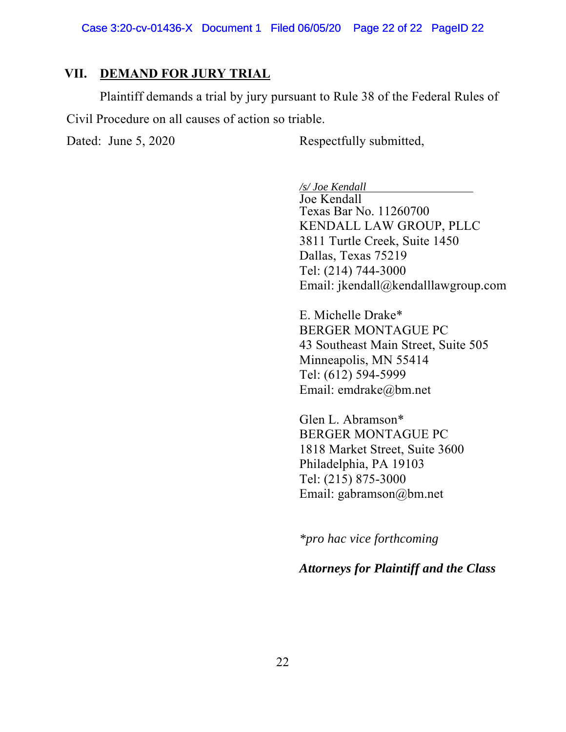### **VII. DEMAND FOR JURY TRIAL**

Plaintiff demands a trial by jury pursuant to Rule 38 of the Federal Rules of Civil Procedure on all causes of action so triable.

Dated: June 5, 2020 Respectfully submitted,

 */s/ Joe Kendall* 

Joe Kendall Texas Bar No. 11260700 KENDALL LAW GROUP, PLLC 3811 Turtle Creek, Suite 1450 Dallas, Texas 75219 Tel: (214) 744-3000 Email: jkendall@kendalllawgroup.com

E. Michelle Drake\* BERGER MONTAGUE PC 43 Southeast Main Street, Suite 505 Minneapolis, MN 55414 Tel: (612) 594-5999 Email: emdrake@bm.net

Glen L. Abramson\* BERGER MONTAGUE PC 1818 Market Street, Suite 3600 Philadelphia, PA 19103 Tel: (215) 875-3000 Email: gabramson@bm.net

*\*pro hac vice forthcoming* 

*Attorneys for Plaintiff and the Class*